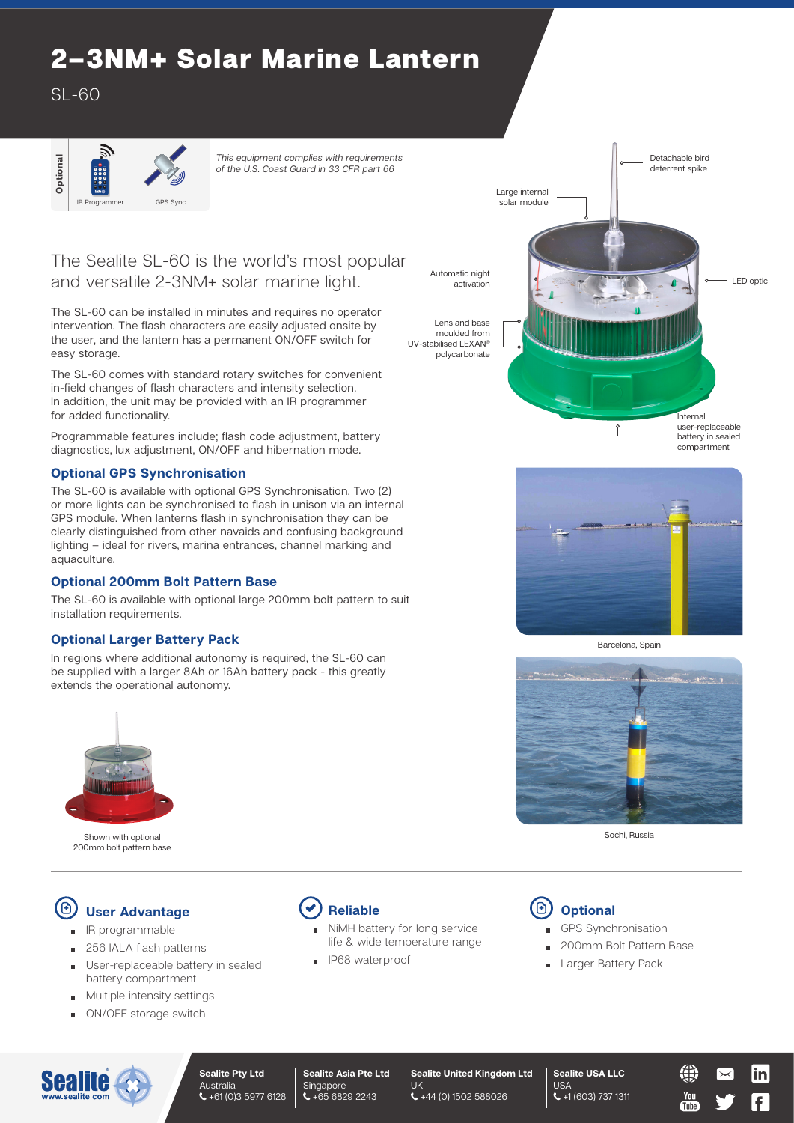# 2–3NM+ Solar Marine Lantern

 $SI - 60$ 



*This equipment complies with requirements of the U.S. Coast Guard in 33 CFR part 66*

## The Sealite SL-60 is the world's most popular and versatile 2-3NM+ solar marine light.

The SL-60 can be installed in minutes and requires no operator intervention. The flash characters are easily adjusted onsite by the user, and the lantern has a permanent ON/OFF switch for easy storage.

The SL-60 comes with standard rotary switches for convenient in-field changes of flash characters and intensity selection. In addition, the unit may be provided with an IR programmer for added functionality.

Programmable features include; flash code adjustment, battery diagnostics, lux adjustment, ON/OFF and hibernation mode.

#### **Optional GPS Synchronisation**

The SL-60 is available with optional GPS Synchronisation. Two (2) or more lights can be synchronised to flash in unison via an internal GPS module. When lanterns flash in synchronisation they can be clearly distinguished from other navaids and confusing background lighting – ideal for rivers, marina entrances, channel marking and aquaculture.

#### **Optional 200mm Bolt Pattern Base**

The SL-60 is available with optional large 200mm bolt pattern to suit installation requirements.

#### **Optional Larger Battery Pack**

In regions where additional autonomy is required, the SL-60 can be supplied with a larger 8Ah or 16Ah battery pack - this greatly extends the operational autonomy.



Shown with optional 200mm bolt pattern base

#### (B) **User Advantage**

- IR programmable
- 256 IALA flash patterns  $\blacksquare$
- User-replaceable battery in sealed battery compartment
- Multiple intensity settings  $\blacksquare$
- ON/OFF storage switch



- NiMH battery for long service life & wide temperature range
- IP68 waterproof  $\overline{a}$

## Detachable bird deterrent spike LED optic **Internal** user-replaceable battery in sealed compartment Large internal solar module Automatic night activation Lens and base moulded from UV-stabilised LEXAN® polycarbonate



Barcelona, Spain



Sochi, Russia



- GPS Synchronisation
- 200mm Bolt Pattern Base

Tuhe

Larger Battery Pack  $\blacksquare$ 



**Sealite Asia Pte Ltd** Singapore  $\leftarrow +6568292243$ 

**Sealite United Kingdom Ltd** UK +44 (0) 1502 588026

**Sealite USA LLC** USA +1 (603) 737 1311